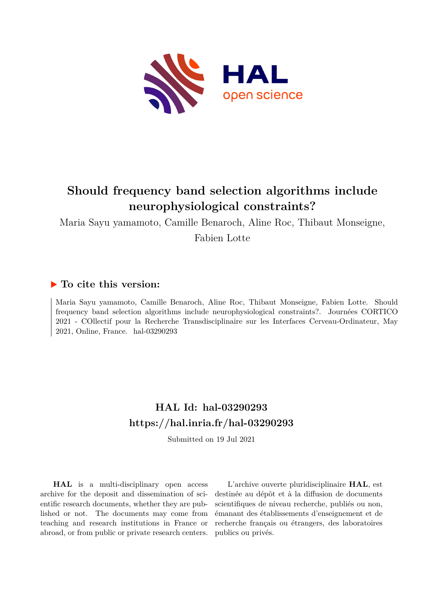

# **Should frequency band selection algorithms include neurophysiological constraints?**

Maria Sayu yamamoto, Camille Benaroch, Aline Roc, Thibaut Monseigne,

Fabien Lotte

### **To cite this version:**

Maria Sayu yamamoto, Camille Benaroch, Aline Roc, Thibaut Monseigne, Fabien Lotte. Should frequency band selection algorithms include neurophysiological constraints?. Journées CORTICO 2021 - COllectif pour la Recherche Transdisciplinaire sur les Interfaces Cerveau-Ordinateur, May 2021, Online, France. hal-03290293

## **HAL Id: hal-03290293 <https://hal.inria.fr/hal-03290293>**

Submitted on 19 Jul 2021

**HAL** is a multi-disciplinary open access archive for the deposit and dissemination of scientific research documents, whether they are published or not. The documents may come from teaching and research institutions in France or abroad, or from public or private research centers.

L'archive ouverte pluridisciplinaire **HAL**, est destinée au dépôt et à la diffusion de documents scientifiques de niveau recherche, publiés ou non, émanant des établissements d'enseignement et de recherche français ou étrangers, des laboratoires publics ou privés.